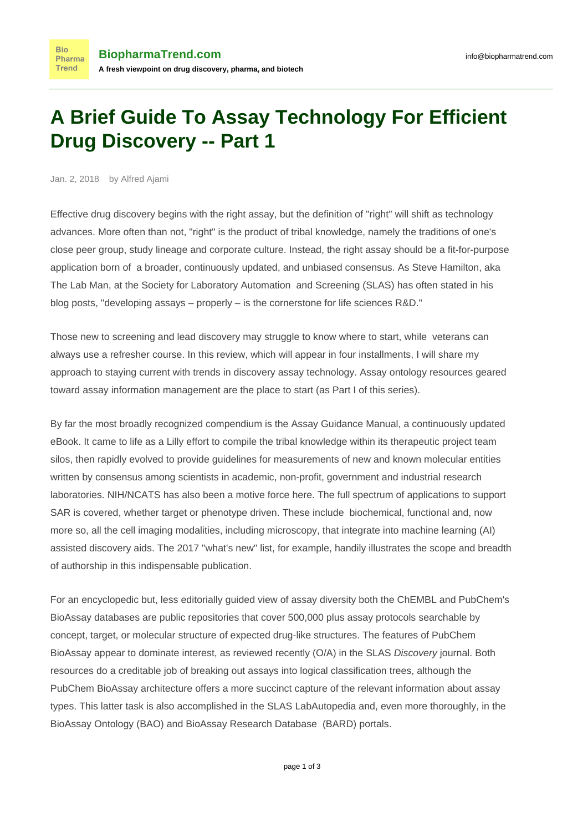## **A Brief Guide To Assay Technology For Efficient Drug Discovery -- Part 1**

Jan. 2, 2018 by Alfred Ajami

**Bio** 

Trend

Effective drug discovery begins with the right assay, but the definition of "right" will shift as technology advances. More often than not, "right" is the product of tribal knowledge, namely the traditions of one's close peer group, study lineage and corporate culture. Instead, the right assay should be a fit-for-purpose application born of a broader, continuously updated, and unbiased consensus. As Steve Hamilton, aka The Lab Man, at the Society for Laboratory Automation and Screening (SLAS) has often stated in his [blog posts,](http://blog.slas.org/blog/author.cfm/labman) "developing assays – properly – is the cornerstone for life sciences R&D."

Those new to screening and lead discovery may struggle to know where to start, while veterans can always use a refresher course. In this review, which will appear in four installments, I will share my approach to staying current with trends in discovery assay technology. Assay ontology resources geared toward assay information management are the place to start (as Part I of this series).

By far the most broadly recognized compendium is the [Assay Guidance Manual](https://www.ncbi.nlm.nih.gov/books/NBK53196/), a continuously updated eBook. It came to life as a Lilly effort to compile the tribal knowledge within its therapeutic project team silos, then rapidly evolved to provide guidelines for measurements of new and known molecular entities written by consensus among scientists in academic, non-profit, government and industrial research laboratories. [NIH/NCATS](https://ncats.nih.gov/pubs/features/agm-july-2017) has also been a motive force here. The full spectrum of applications to support SAR is covered, whether target or phenotype driven. These include biochemical, functional and, now more so, all the cell imaging modalities, including microscopy, that integrate into machine learning (AI) assisted discovery aids. The 2017 ["what's new" list,](https://www.ncbi.nlm.nih.gov/books/NBK401307/) for example, handily illustrates the scope and breadth of authorship in this indispensable publication.

For an encyclopedic but, less editorially guided view of assay diversity both the [ChEMBL](https://academic.oup.com/nar/article/45/D1/D945/2605707) and [PubChem](https://www.ncbi.nlm.nih.gov/pmc/articles/PMC5210581/)'s BioAssay databases are public repositories that cover 500,000 plus assay protocols searchable by concept, target, or molecular structure of expected drug-like structures. The features of PubChem BioAssay appear to dominate interest, as [reviewed recently](http://journals.sagepub.com/doi/full/10.1177/2472555216685069) (O/A) in the SLAS Discovery journal. Both resources do a creditable job of breaking out assays into logical classification trees, although the PubChem BioAssay architecture offers a more succinct [capture of the relevant](https://pubchem.ncbi.nlm.nih.gov/assay/assay.cgi) information about assay types. This latter task is also accomplished in the [SLAS LabAutopedia](http://www.labautopedia.org/mw/Portal:Contents) and, even more thoroughly, in the [BioAssay Ontology](http://bioportal.bioontology.org/ontologies/BAO) (BAO) and [BioAssay Research Database](https://bard.nih.gov/) (BARD) portals.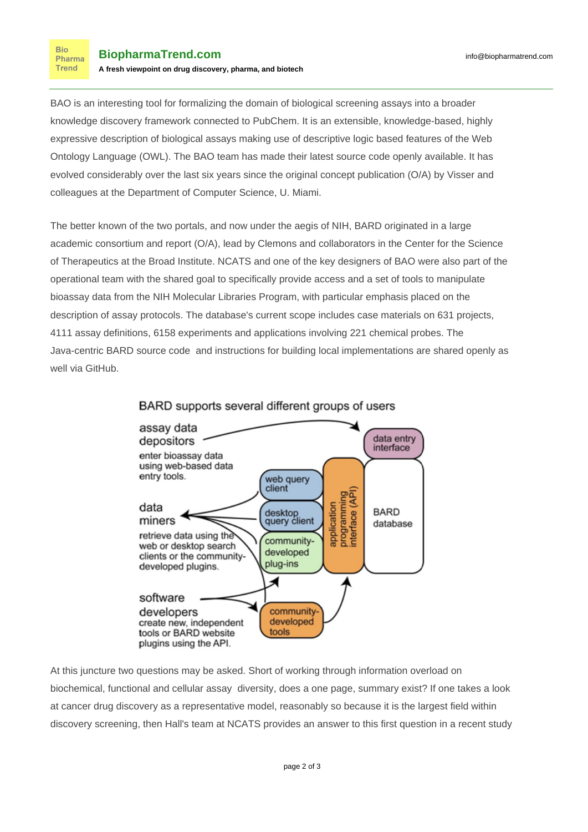BAO is an interesting tool for formalizing the domain of biological screening assays into a broader knowledge discovery framework connected to PubChem. It is an extensible, knowledge-based, highly expressive description of biological assays making use of descriptive logic based features of the Web Ontology Language (OWL). The BAO team has made their latest [source code](http://bioassayontology.org/bioassayontology/) openly available. It has evolved considerably over the last six years since the original [concept](https://bmcbioinformatics.biomedcentral.com/articles/10.1186/1471-2105-12-257) publication (O/A) by Visser and colleagues at the Department of Computer Science, U. Miami.

The better known of the two portals, and now under the aegis of NIH, BARD originated in a [large](https://www.ncbi.nlm.nih.gov/pmc/articles/PMC4383997/) [academic consortium](https://www.ncbi.nlm.nih.gov/pmc/articles/PMC4383997/) and report (O/A), lead by Clemons and collaborators in the Center for the Science of Therapeutics at the Broad Institute. NCATS and one of the key designers of BAO were also part of the operational team with the shared goal to specifically provide access and a set of tools to manipulate bioassay data from the NIH Molecular Libraries Program, with particular emphasis placed on the description of assay protocols. The database's current scope includes case materials on 631 projects, 4111 assay definitions, 6158 experiments and applications involving 221 chemical probes. The Java-centric BARD [source code](https://github.com/broadinstitute/BARD) and instructions for building local implementations are shared openly as well via GitHub.



## BARD supports several different groups of users

At this juncture two questions may be asked. Short of working through information overload on biochemical, functional and cellular assay diversity, does a one page, summary exist? If one takes a look at cancer drug discovery as a representative model, reasonably so because it is the largest field within discovery screening, then Hall's team at NCATS provides an answer to this first question in a [recent study](https://www.ncbi.nlm.nih.gov/pmc/articles/PMC5612261/)